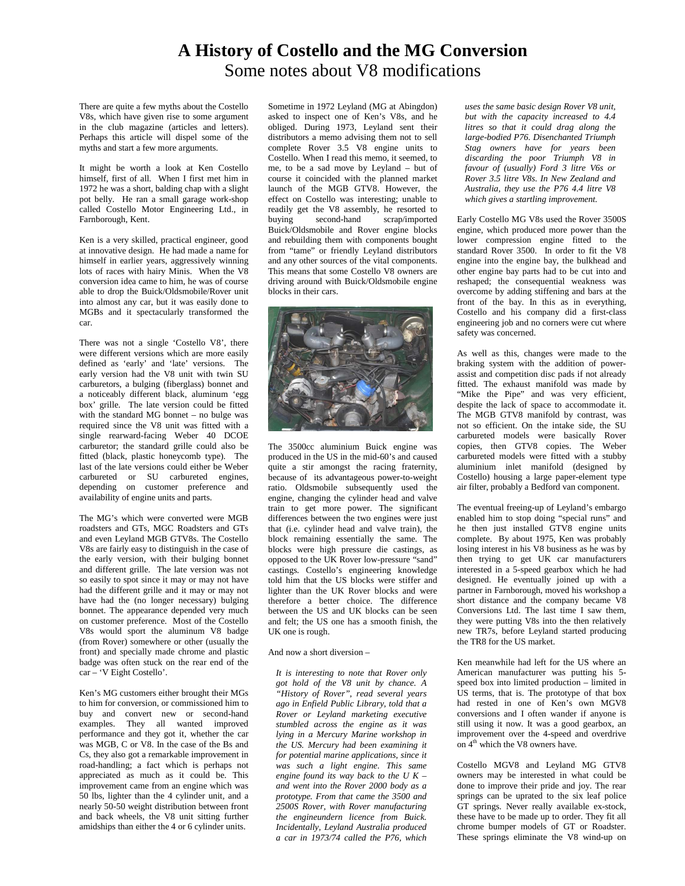## **A History of Costello and the MG Conversion**  Some notes about V8 modifications

There are quite a few myths about the Costello V8s, which have given rise to some argument in the club magazine (articles and letters). Perhaps this article will dispel some of the myths and start a few more arguments.

It might be worth a look at Ken Costello himself, first of all. When I first met him in 1972 he was a short, balding chap with a slight pot belly. He ran a small garage work-shop called Costello Motor Engineering Ltd., in Farnborough, Kent.

Ken is a very skilled, practical engineer, good at innovative design. He had made a name for himself in earlier years, aggressively winning lots of races with hairy Minis. When the V8 conversion idea came to him, he was of course able to drop the Buick/Oldsmobile/Rover unit into almost any car, but it was easily done to MGBs and it spectacularly transformed the car.

There was not a single 'Costello V8', there were different versions which are more easily defined as 'early' and 'late' versions. The early version had the V8 unit with twin SU carburetors, a bulging (fiberglass) bonnet and a noticeably different black, aluminum 'egg box' grille. The late version could be fitted with the standard MG bonnet – no bulge was required since the V8 unit was fitted with a single rearward-facing Weber 40 DCOE carburetor; the standard grille could also be fitted (black, plastic honeycomb type). The last of the late versions could either be Weber carbureted or SU carbureted engines, depending on customer preference and availability of engine units and parts.

The MG's which were converted were MGB roadsters and GTs, MGC Roadsters and GTs and even Leyland MGB GTV8s. The Costello V8s are fairly easy to distinguish in the case of the early version, with their bulging bonnet and different grille. The late version was not so easily to spot since it may or may not have had the different grille and it may or may not have had the (no longer necessary) bulging bonnet. The appearance depended very much on customer preference. Most of the Costello V8s would sport the aluminum V8 badge (from Rover) somewhere or other (usually the front) and specially made chrome and plastic badge was often stuck on the rear end of the car – 'V Eight Costello'.

Ken's MG customers either brought their MGs to him for conversion, or commissioned him to buy and convert new or second-hand examples. They all wanted improved performance and they got it, whether the car was MGB, C or V8. In the case of the Bs and Cs, they also got a remarkable improvement in road-handling; a fact which is perhaps not appreciated as much as it could be. This improvement came from an engine which was 50 lbs, lighter than the 4 cylinder unit, and a nearly 50-50 weight distribution between front and back wheels, the V8 unit sitting further amidships than either the 4 or 6 cylinder units.

Sometime in 1972 Leyland (MG at Abingdon) asked to inspect one of Ken's V8s, and he obliged. During 1973, Leyland sent their distributors a memo advising them not to sell complete Rover 3.5 V8 engine units to Costello. When I read this memo, it seemed, to me, to be a sad move by Leyland – but of course it coincided with the planned market launch of the MGB GTV8. However, the effect on Costello was interesting; unable to readily get the V8 assembly, he resorted to<br>buying second-hand scrap/imported scrap/imported Buick/Oldsmobile and Rover engine blocks and rebuilding them with components bought from "tame" or friendly Leyland distributors and any other sources of the vital components. This means that some Costello V8 owners are driving around with Buick/Oldsmobile engine blocks in their cars.



The 3500cc aluminium Buick engine was produced in the US in the mid-60's and caused quite a stir amongst the racing fraternity, because of its advantageous power-to-weight ratio. Oldsmobile subsequently used the engine, changing the cylinder head and valve train to get more power. The significant differences between the two engines were just that (i.e. cylinder head and valve train), the block remaining essentially the same. The blocks were high pressure die castings, as opposed to the UK Rover low-pressure "sand" castings. Costello's engineering knowledge told him that the US blocks were stiffer and lighter than the UK Rover blocks and were therefore a better choice. The difference between the US and UK blocks can be seen and felt; the US one has a smooth finish, the UK one is rough.

And now a short diversion –

*It is interesting to note that Rover only got hold of the V8 unit by chance. A "History of Rover", read several years ago in Enfield Public Library, told that a Rover or Leyland marketing executive stumbled across the engine as it was lying in a Mercury Marine workshop in the US. Mercury had been examining it for potential marine applications, since it was such a light engine. This same engine found its way back to the U K – and went into the Rover 2000 body as a prototype. From that came the 3500 and 2500S Rover, with Rover manufacturing the engineundern licence from Buick. Incidentally, Leyland Australia produced a car in 1973/74 called the P76, which* 

*uses the same basic design Rover V8 unit, but with the capacity increased to 4.4 litres so that it could drag along the large-bodied P76. Disenchanted Triumph Stag owners have for years been discarding the poor Triumph V8 in favour of (usually) Ford 3 litre V6s or Rover 3.5 litre V8s. In New Zealand and Australia, they use the P76 4.4 litre V8 which gives a startling improvement.* 

Early Costello MG V8s used the Rover 3500S engine, which produced more power than the lower compression engine fitted to the standard Rover 3500. In order to fit the V8 engine into the engine bay, the bulkhead and other engine bay parts had to be cut into and reshaped; the consequential weakness was overcome by adding stiffening and bars at the front of the bay. In this as in everything, Costello and his company did a first-class engineering job and no corners were cut where safety was concerned.

As well as this, changes were made to the braking system with the addition of powerassist and competition disc pads if not already fitted. The exhaust manifold was made by "Mike the Pipe" and was very efficient, despite the lack of space to accommodate it. The MGB GTV8 manifold by contrast, was not so efficient. On the intake side, the SU carbureted models were basically Rover copies, then GTV8 copies. The Weber carbureted models were fitted with a stubby aluminium inlet manifold (designed by Costello) housing a large paper-element type air filter, probably a Bedford van component.

The eventual freeing-up of Leyland's embargo enabled him to stop doing "special runs" and he then just installed GTV8 engine units complete. By about 1975, Ken was probably losing interest in his V8 business as he was by then trying to get UK car manufacturers interested in a 5-speed gearbox which he had designed. He eventually joined up with a partner in Farnborough, moved his workshop a short distance and the company became V8 Conversions Ltd. The last time I saw them, they were putting V8s into the then relatively new TR7s, before Leyland started producing the TR8 for the US market.

Ken meanwhile had left for the US where an American manufacturer was putting his 5 speed box into limited production – limited in US terms, that is. The prototype of that box had rested in one of Ken's own MGV8 conversions and I often wander if anyone is still using it now. It was a good gearbox, an improvement over the 4-speed and overdrive on 4<sup>th</sup> which the V8 owners have.

Costello MGV8 and Leyland MG GTV8 owners may be interested in what could be done to improve their pride and joy. The rear springs can be uprated to the six leaf police GT springs. Never really available ex-stock, these have to be made up to order. They fit all chrome bumper models of GT or Roadster. These springs eliminate the V8 wind-up on